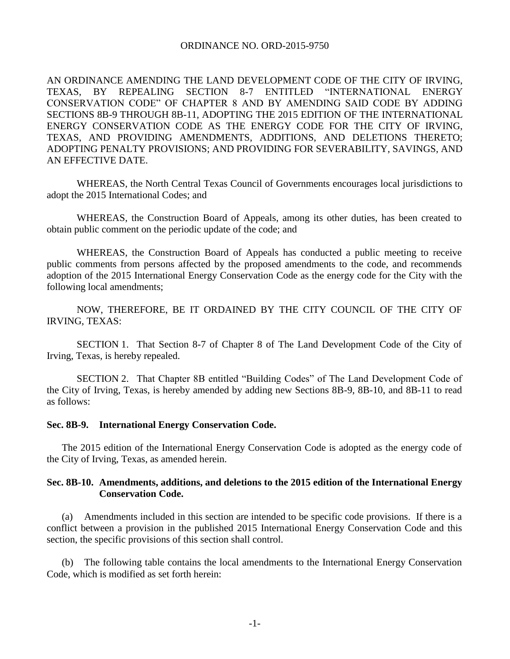### ORDINANCE NO. ORD-2015-9750

AN ORDINANCE AMENDING THE LAND DEVELOPMENT CODE OF THE CITY OF IRVING, TEXAS, BY REPEALING SECTION 8-7 ENTITLED "INTERNATIONAL ENERGY CONSERVATION CODE" OF CHAPTER 8 AND BY AMENDING SAID CODE BY ADDING SECTIONS 8B-9 THROUGH 8B-11, ADOPTING THE 2015 EDITION OF THE INTERNATIONAL ENERGY CONSERVATION CODE AS THE ENERGY CODE FOR THE CITY OF IRVING, TEXAS, AND PROVIDING AMENDMENTS, ADDITIONS, AND DELETIONS THERETO; ADOPTING PENALTY PROVISIONS; AND PROVIDING FOR SEVERABILITY, SAVINGS, AND AN EFFECTIVE DATE.

WHEREAS, the North Central Texas Council of Governments encourages local jurisdictions to adopt the 2015 International Codes; and

WHEREAS, the Construction Board of Appeals, among its other duties, has been created to obtain public comment on the periodic update of the code; and

WHEREAS, the Construction Board of Appeals has conducted a public meeting to receive public comments from persons affected by the proposed amendments to the code, and recommends adoption of the 2015 International Energy Conservation Code as the energy code for the City with the following local amendments;

NOW, THEREFORE, BE IT ORDAINED BY THE CITY COUNCIL OF THE CITY OF IRVING, TEXAS:

SECTION 1. That Section 8-7 of Chapter 8 of The Land Development Code of the City of Irving, Texas, is hereby repealed.

SECTION 2. That Chapter 8B entitled "Building Codes" of The Land Development Code of the City of Irving, Texas, is hereby amended by adding new Sections 8B-9, 8B-10, and 8B-11 to read as follows:

### **Sec. 8B-9. International Energy Conservation Code.**

The 2015 edition of the International Energy Conservation Code is adopted as the energy code of the City of Irving, Texas, as amended herein.

## **Sec. 8B-10. Amendments, additions, and deletions to the 2015 edition of the International Energy Conservation Code.**

(a) Amendments included in this section are intended to be specific code provisions. If there is a conflict between a provision in the published 2015 International Energy Conservation Code and this section, the specific provisions of this section shall control.

(b) The following table contains the local amendments to the International Energy Conservation Code, which is modified as set forth herein: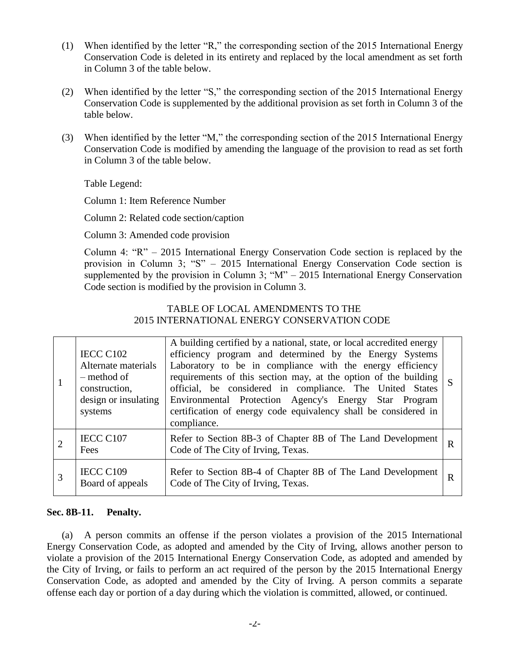- (1) When identified by the letter "R," the corresponding section of the 2015 International Energy Conservation Code is deleted in its entirety and replaced by the local amendment as set forth in Column 3 of the table below.
- (2) When identified by the letter "S," the corresponding section of the 2015 International Energy Conservation Code is supplemented by the additional provision as set forth in Column 3 of the table below.
- (3) When identified by the letter "M," the corresponding section of the 2015 International Energy Conservation Code is modified by amending the language of the provision to read as set forth in Column 3 of the table below.

Table Legend:

Column 1: Item Reference Number

Column 2: Related code section/caption

Column 3: Amended code provision

Column 4: "R" – 2015 International Energy Conservation Code section is replaced by the provision in Column 3; "S" – 2015 International Energy Conservation Code section is supplemented by the provision in Column 3; " $M$ " – 2015 International Energy Conservation Code section is modified by the provision in Column 3.

# TABLE OF LOCAL AMENDMENTS TO THE 2015 INTERNATIONAL ENERGY CONSERVATION CODE

|   | IECC C102<br>Alternate materials<br>– method of<br>construction,<br>design or insulating<br>systems | A building certified by a national, state, or local accredited energy<br>efficiency program and determined by the Energy Systems<br>Laboratory to be in compliance with the energy efficiency<br>requirements of this section may, at the option of the building<br>official, be considered in compliance. The United States<br>Environmental Protection Agency's Energy Star Program<br>certification of energy code equivalency shall be considered in<br>compliance. | S |
|---|-----------------------------------------------------------------------------------------------------|-------------------------------------------------------------------------------------------------------------------------------------------------------------------------------------------------------------------------------------------------------------------------------------------------------------------------------------------------------------------------------------------------------------------------------------------------------------------------|---|
|   | IECC C107<br>Fees                                                                                   | Refer to Section 8B-3 of Chapter 8B of The Land Development<br>Code of The City of Irving, Texas.                                                                                                                                                                                                                                                                                                                                                                       | R |
| 3 | IECC C109<br>Board of appeals                                                                       | Refer to Section 8B-4 of Chapter 8B of The Land Development<br>Code of The City of Irving, Texas.                                                                                                                                                                                                                                                                                                                                                                       | R |

## **Sec. 8B-11. Penalty.**

(a) A person commits an offense if the person violates a provision of the 2015 International Energy Conservation Code, as adopted and amended by the City of Irving, allows another person to violate a provision of the 2015 International Energy Conservation Code, as adopted and amended by the City of Irving, or fails to perform an act required of the person by the 2015 International Energy Conservation Code, as adopted and amended by the City of Irving. A person commits a separate offense each day or portion of a day during which the violation is committed, allowed, or continued.